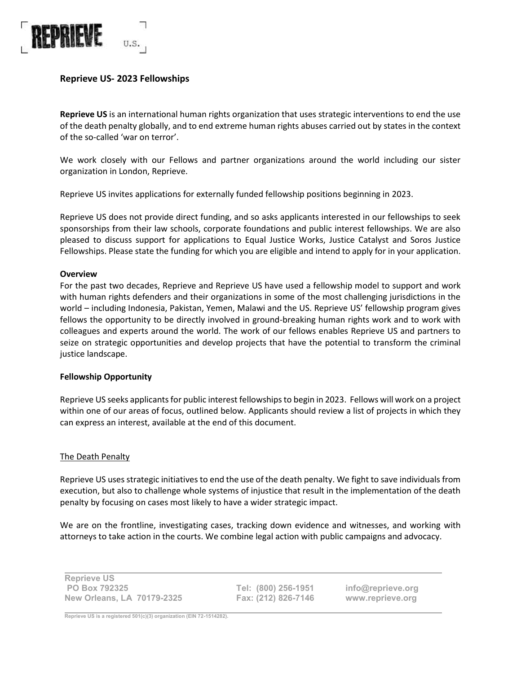

# **Reprieve US- 2023 Fellowships**

**Reprieve US** is an international human rights organization that uses strategic interventions to end the use of the death penalty globally, and to end extreme human rights abuses carried out by states in the context of the so-called 'war on terror'.

We work closely with our Fellows and partner organizations around the world including our sister organization in London, Reprieve.

Reprieve US invites applications for externally funded fellowship positions beginning in 2023.

Reprieve US does not provide direct funding, and so asks applicants interested in our fellowships to seek sponsorships from their law schools, corporate foundations and public interest fellowships. We are also pleased to discuss support for applications to Equal Justice Works, Justice Catalyst and Soros Justice Fellowships. Please state the funding for which you are eligible and intend to apply for in your application.

#### **Overview**

For the past two decades, Reprieve and Reprieve US have used a fellowship model to support and work with human rights defenders and their organizations in some of the most challenging jurisdictions in the world – including Indonesia, Pakistan, Yemen, Malawi and the US. Reprieve US' fellowship program gives fellows the opportunity to be directly involved in ground-breaking human rights work and to work with colleagues and experts around the world. The work of our fellows enables Reprieve US and partners to seize on strategic opportunities and develop projects that have the potential to transform the criminal justice landscape.

#### **Fellowship Opportunity**

Reprieve US seeks applicants for public interest fellowships to begin in 2023. Fellows will work on a project within one of our areas of focus, outlined below. Applicants should review a list of projects in which they can express an interest, available at the end of this document.

#### The Death Penalty

Reprieve US uses strategic initiatives to end the use of the death penalty. We fight to save individuals from execution, but also to challenge whole systems of injustice that result in the implementation of the death penalty by focusing on cases most likely to have a wider strategic impact.

We are on the frontline, investigating cases, tracking down evidence and witnesses, and working with attorneys to take action in the courts. We combine legal action with public campaigns and advocacy.

| <b>Reprieve US</b>                |  |
|-----------------------------------|--|
| <b>PO Box 792325</b>              |  |
| <b>New Orleans, LA 70179-2325</b> |  |

**Tel: (800) 256-1951 Fax: (212) 826-7146**

**info@reprieve.org www.reprieve.org**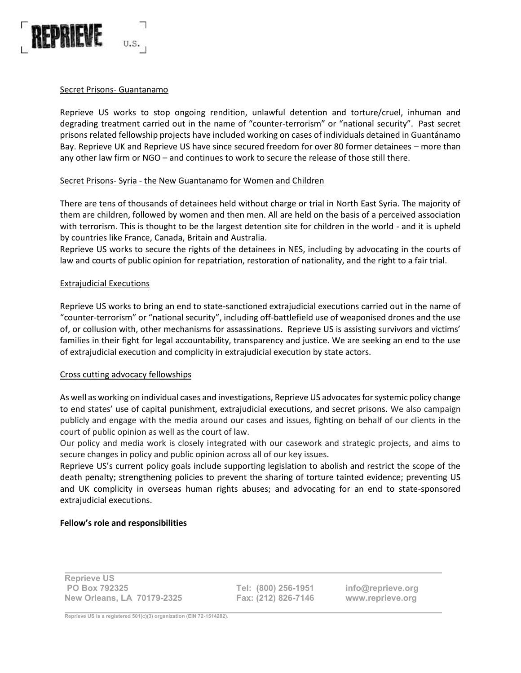

## Secret Prisons- Guantanamo

Reprieve US works to stop ongoing rendition, unlawful detention and torture/cruel, inhuman and degrading treatment carried out in the name of "counter-terrorism" or "national security". Past secret prisons related fellowship projects have included working on cases of individuals detained in Guantánamo Bay. Reprieve UK and Reprieve US have since secured freedom for over 80 former detainees – more than any other law firm or NGO – and continues to work to secure the release of those still there.

### Secret Prisons- Syria - the New Guantanamo for Women and Children

There are tens of thousands of detainees held without charge or trial in North East Syria. The majority of them are children, followed by women and then men. All are held on the basis of a perceived association with terrorism. This is thought to be the largest detention site for children in the world - and it is upheld by countries like France, Canada, Britain and Australia.

Reprieve US works to secure the rights of the detainees in NES, including by advocating in the courts of law and courts of public opinion for repatriation, restoration of nationality, and the right to a fair trial.

### Extrajudicial Executions

Reprieve US works to bring an end to state-sanctioned extrajudicial executions carried out in the name of "counter-terrorism" or "national security", including off-battlefield use of weaponised drones and the use of, or collusion with, other mechanisms for assassinations. Reprieve US is assisting survivors and victims' families in their fight for legal accountability, transparency and justice. We are seeking an end to the use of extrajudicial execution and complicity in extrajudicial execution by state actors.

#### Cross cutting advocacy fellowships

As well as working on individual cases and investigations, Reprieve US advocates for systemic policy change to end states' use of capital punishment, extrajudicial executions, and secret prisons. We also campaign publicly and engage with the media around our cases and issues, fighting on behalf of our clients in the court of public opinion as well as the court of law.

Our policy and media work is closely integrated with our casework and strategic projects, and aims to secure changes in policy and public opinion across all of our key issues.

Reprieve US's current policy goals include supporting legislation to abolish and restrict the scope of the death penalty; strengthening policies to prevent the sharing of torture tainted evidence; preventing US and UK complicity in overseas human rights abuses; and advocating for an end to state-sponsored extrajudicial executions.

## **Fellow's role and responsibilities**

| <b>Reprieve US</b>                |  |
|-----------------------------------|--|
| <b>PO Box 792325</b>              |  |
| <b>New Orleans, LA 70179-2325</b> |  |

**Tel: (800) 256-1951 Fax: (212) 826-7146**

**info@reprieve.org www.reprieve.org**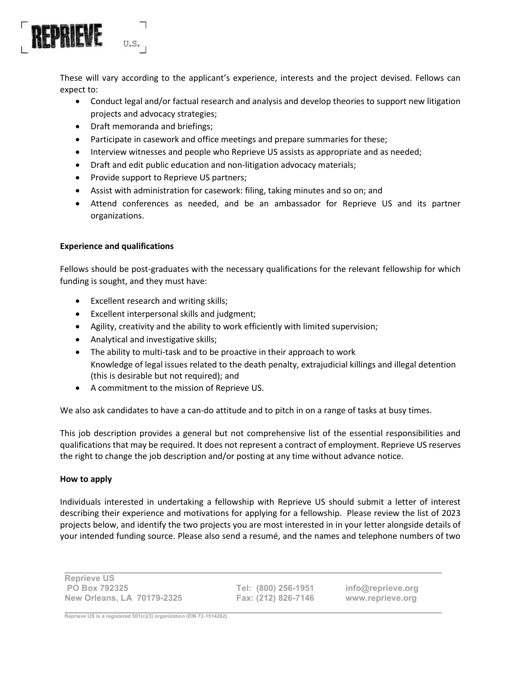

These will vary according to the applicant's experience, interests and the project devised. Fellows can expect to:

- Conduct legal and/or factual research and analysis and develop theories to support new litigation projects and advocacy strategies;
- Draft memoranda and briefings;
- Participate in casework and office meetings and prepare summaries for these;
- Interview witnesses and people who Reprieve US assists as appropriate and as needed;
- Draft and edit public education and non-litigation advocacy materials;
- Provide support to Reprieve US partners;
- Assist with administration for casework: filing, taking minutes and so on; and
- Attend conferences as needed, and be an ambassador for Reprieve US and its partner organizations.

### **Experience and qualifications**

Fellows should be post-graduates with the necessary qualifications for the relevant fellowship for which funding is sought, and they must have:

- Excellent research and writing skills;
- Excellent interpersonal skills and judgment;
- Agility, creativity and the ability to work efficiently with limited supervision;
- Analytical and investigative skills;
- The ability to multi-task and to be proactive in their approach to work Knowledge of legal issues related to the death penalty, extrajudicial killings and illegal detention (this is desirable but not required); and
- A commitment to the mission of Reprieve US.

We also ask candidates to have a can-do attitude and to pitch in on a range of tasks at busy times.

This job description provides a general but not comprehensive list of the essential responsibilities and qualifications that may be required. It does not represent a contract of employment. Reprieve US reserves the right to change the job description and/or posting at any time without advance notice.

#### **How to apply**

Individuals interested in undertaking a fellowship with Reprieve US should submit a letter of interest describing their experience and motivations for applying for a fellowship. Please review the list of 2023 projects below, and identify the two projects you are most interested in in your letter alongside details of your intended funding source. Please also send a resumé, and the names and telephone numbers of two

| <b>Reprieve US</b>                |  |
|-----------------------------------|--|
| <b>PO Box 792325</b>              |  |
| <b>New Orleans, LA 70179-2325</b> |  |

**Tel: (800) 256-1951 Fax: (212) 826-7146**

**info@reprieve.org www.reprieve.org**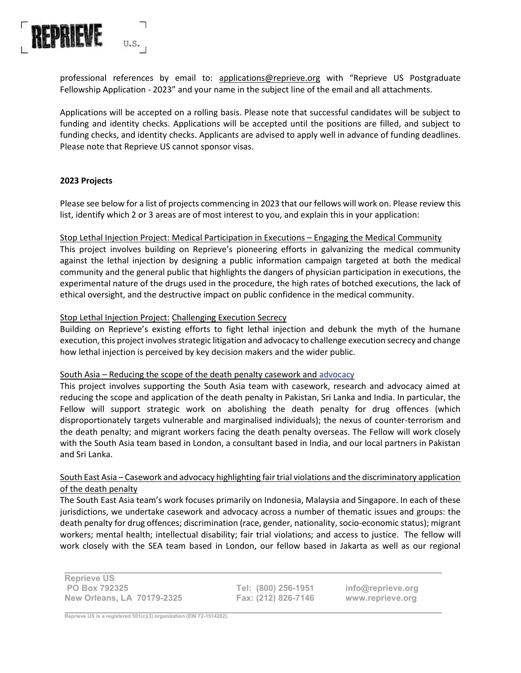

professional references by email to: applications@reprieve.org with "Reprieve US Postgraduate Fellowship Application - 2023" and your name in the subject line of the email and all attachments.

Applications will be accepted on a rolling basis. Please note that successful candidates will be subject to funding and identity checks. Applications will be accepted until the positions are filled, and subject to funding checks, and identity checks. Applicants are advised to apply well in advance of funding deadlines. Please note that Reprieve US cannot sponsor visas.

### **2023 Projects**

Please see below for a list of projects commencing in 2023 that our fellows will work on. Please review this list, identify which 2 or 3 areas are of most interest to you, and explain this in your application:

### Stop Lethal Injection Project: Medical Participation in Executions – Engaging the Medical Community

This project involves building on Reprieve's pioneering efforts in galvanizing the medical community against the lethal injection by designing a public information campaign targeted at both the medical community and the general public that highlights the dangers of physician participation in executions, the experimental nature of the drugs used in the procedure, the high rates of botched executions, the lack of ethical oversight, and the destructive impact on public confidence in the medical community.

### Stop Lethal Injection Project: Challenging Execution Secrecy

Building on Reprieve's existing efforts to fight lethal injection and debunk the myth of the humane execution, this project involves strategic litigation and advocacy to challenge execution secrecy and change how lethal injection is perceived by key decision makers and the wider public.

#### South Asia – Reducing the scope of the death penalty casework and advocacy

This project involves supporting the South Asia team with casework, research and advocacy aimed at reducing the scope and application of the death penalty in Pakistan, Sri Lanka and India. In particular, the Fellow will support strategic work on abolishing the death penalty for drug offences (which disproportionately targets vulnerable and marginalised individuals); the nexus of counter-terrorism and the death penalty; and migrant workers facing the death penalty overseas. The Fellow will work closely with the South Asia team based in London, a consultant based in India, and our local partners in Pakistan and Sri Lanka.

## South East Asia – Casework and advocacy highlighting fair trial violations and the discriminatory application of the death penalty

The South East Asia team's work focuses primarily on Indonesia, Malaysia and Singapore. In each of these jurisdictions, we undertake casework and advocacy across a number of thematic issues and groups: the death penalty for drug offences; discrimination (race, gender, nationality, socio-economic status); migrant workers; mental health; intellectual disability; fair trial violations; and access to justice. The fellow will work closely with the SEA team based in London, our fellow based in Jakarta as well as our regional

**Reprieve US PO Box 792325 New Orleans, LA 70179-2325**

**Tel: (800) 256-1951 Fax: (212) 826-7146**

**info@reprieve.org www.reprieve.org**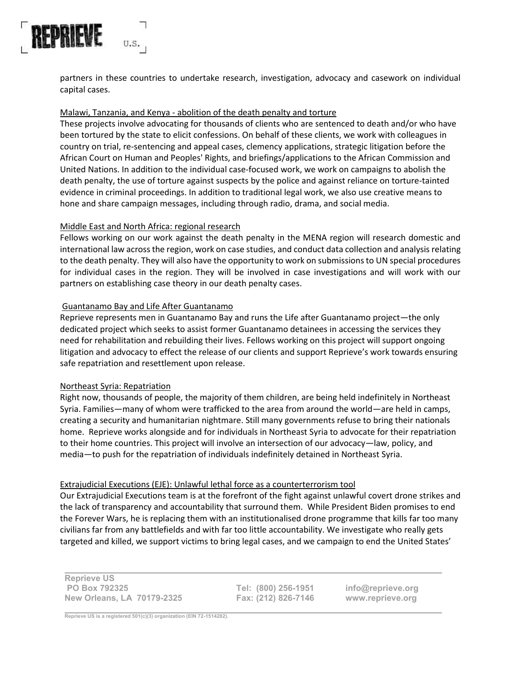

partners in these countries to undertake research, investigation, advocacy and casework on individual capital cases.

## Malawi, Tanzania, and Kenya - abolition of the death penalty and torture

These projects involve advocating for thousands of clients who are sentenced to death and/or who have been tortured by the state to elicit confessions. On behalf of these clients, we work with colleagues in country on trial, re-sentencing and appeal cases, clemency applications, strategic litigation before the African Court on Human and Peoples' Rights, and briefings/applications to the African Commission and United Nations. In addition to the individual case-focused work, we work on campaigns to abolish the death penalty, the use of torture against suspects by the police and against reliance on torture-tainted evidence in criminal proceedings. In addition to traditional legal work, we also use creative means to hone and share campaign messages, including through radio, drama, and social media.

## Middle East and North Africa: regional research

Fellows working on our work against the death penalty in the MENA region will research domestic and international law across the region, work on case studies, and conduct data collection and analysis relating to the death penalty. They will also have the opportunity to work on submissions to UN special procedures for individual cases in the region. They will be involved in case investigations and will work with our partners on establishing case theory in our death penalty cases.

## Guantanamo Bay and Life After Guantanamo

Reprieve represents men in Guantanamo Bay and runs the Life after Guantanamo project—the only dedicated project which seeks to assist former Guantanamo detainees in accessing the services they need for rehabilitation and rebuilding their lives. Fellows working on this project will support ongoing litigation and advocacy to effect the release of our clients and support Reprieve's work towards ensuring safe repatriation and resettlement upon release.

#### Northeast Syria: Repatriation

Right now, thousands of people, the majority of them children, are being held indefinitely in Northeast Syria. Families—many of whom were trafficked to the area from around the world—are held in camps, creating a security and humanitarian nightmare. Still many governments refuse to bring their nationals home. Reprieve works alongside and for individuals in Northeast Syria to advocate for their repatriation to their home countries. This project will involve an intersection of our advocacy—law, policy, and media—to push for the repatriation of individuals indefinitely detained in Northeast Syria.

## Extrajudicial Executions (EJE): Unlawful lethal force as a counterterrorism tool

Our Extrajudicial Executions team is at the forefront of the fight against unlawful covert drone strikes and the lack of transparency and accountability that surround them. While President Biden promises to end the Forever Wars, he is replacing them with an institutionalised drone programme that kills far too many civilians far from any battlefields and with far too little accountability. We investigate who really gets targeted and killed, we support victims to bring legal cases, and we campaign to end the United States'

**Reprieve US PO Box 792325 New Orleans, LA 70179-2325**

**Tel: (800) 256-1951 Fax: (212) 826-7146**

**info@reprieve.org www.reprieve.org**